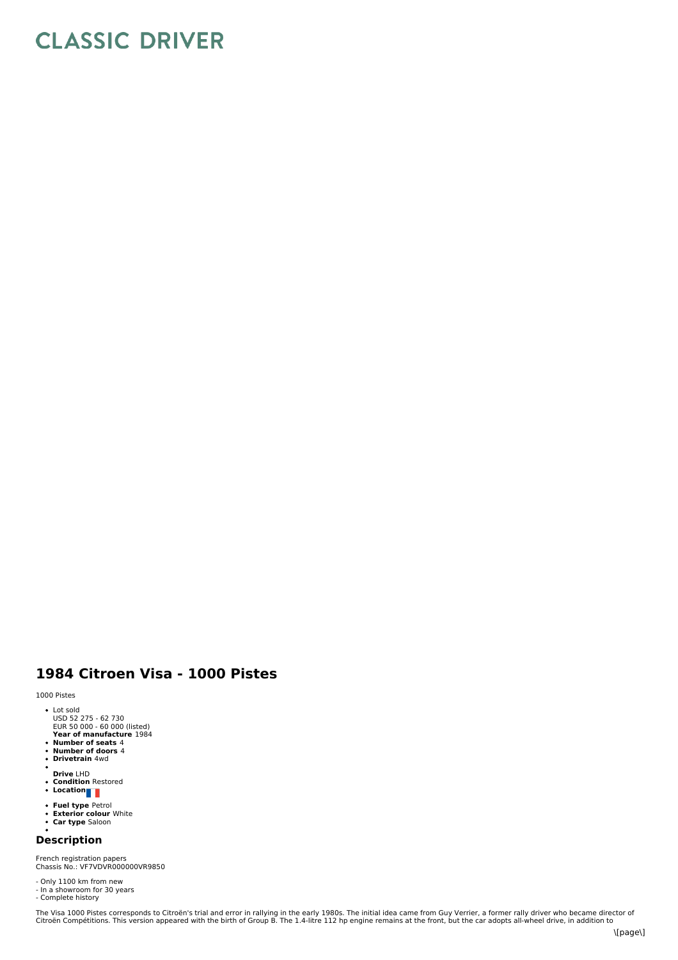## **CLASSIC DRIVER**

## **1984 Citroen Visa - 1000 Pistes**

1000 Pistes

- Lot sold USD 52 275 62 730 EUR 50 000 60 000 (listed)
- 
- **Year of manufacture** 1984 **Number of seats** 4 **Number of doors** 4 **Drivetrain** 4wd
- 
- Ĭ.
- 
- **Drive** LHD **Condition** Restored **Location**
- 
- **Fuel type** Petrol<br>**Exterior colour** White<br>**Car type** Saloon
- 

## **Description**

French registration papers Chassis No.: VF7VDVR000000VR9850

- 
- Only 1100 km from new In a showroom for 30 years Complete history
- 

The Visa 1000 Pistes corresponds to Citroën's trial and error in rallying in the early 1980s. The initial idea came from Guy Verrier, a former rally driver who became director of<br>Citroën Compétitions. This version appeared